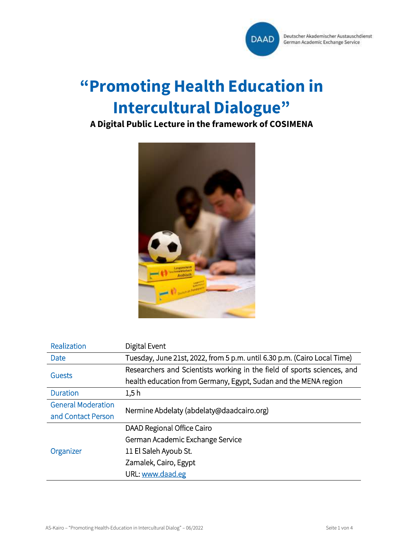

# **"Promoting Health Education in Intercultural Dialogue"**

## **A Digital Public Lecture in the framework of COSIMENA**



| Realization               | Digital Event                                                            |
|---------------------------|--------------------------------------------------------------------------|
| Date                      | Tuesday, June 21st, 2022, from 5 p.m. until 6.30 p.m. (Cairo Local Time) |
| Guests                    | Researchers and Scientists working in the field of sports sciences, and  |
|                           | health education from Germany, Egypt, Sudan and the MENA region          |
| <b>Duration</b>           | 1.5h                                                                     |
| <b>General Moderation</b> | Nermine Abdelaty (abdelaty@daadcairo.org)                                |
| and Contact Person        |                                                                          |
| Organizer                 | DAAD Regional Office Cairo                                               |
|                           | German Academic Exchange Service                                         |
|                           | 11 El Saleh Ayoub St.                                                    |
|                           | Zamalek, Cairo, Egypt                                                    |
|                           | URL: www.daad.eg                                                         |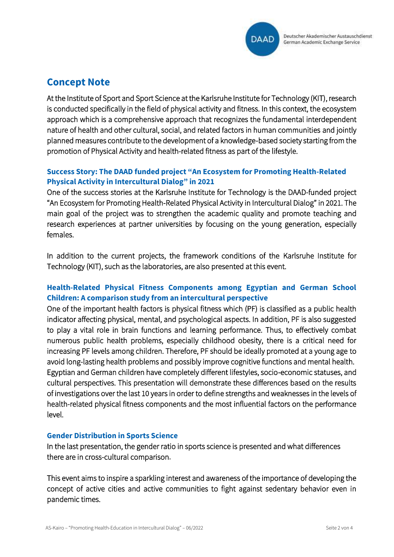

## **Concept Note**

At the Institute of Sport and Sport Science at the Karlsruhe Institute for Technology (KIT), research is conducted specifically in the field of physical activity and fitness. In this context, the ecosystem approach which is a comprehensive approach that recognizes the fundamental interdependent nature of health and other cultural, social, and related factors in human communities and jointly planned measures contribute to the development of a knowledge-based society starting from the promotion of Physical Activity and health-related fitness as part of the lifestyle.

#### **Success Story: The DAAD funded project "An Ecosystem for Promoting Health-Related Physical Activity in Intercultural Dialog" in 2021**

One of the success stories at the Karlsruhe Institute for Technology is the DAAD-funded project "An Ecosystem for Promoting Health-Related Physical Activity in Intercultural Dialog" in 2021. The main goal of the project was to strengthen the academic quality and promote teaching and research experiences at partner universities by focusing on the young generation, especially females.

In addition to the current projects, the framework conditions of the Karlsruhe Institute for Technology (KIT), such as the laboratories, are also presented at this event.

#### **Health-Related Physical Fitness Components among Egyptian and German School Children: A comparison study from an intercultural perspective**

One of the important health factors is physical fitness which (PF) is classified as a public health indicator affecting physical, mental, and psychological aspects. In addition, PF is also suggested to play a vital role in brain functions and learning performance. Thus, to effectively combat numerous public health problems, especially childhood obesity, there is a critical need for increasing PF levels among children. Therefore, PF should be ideally promoted at a young age to avoid long-lasting health problems and possibly improve cognitive functions and mental health. Egyptian and German children have completely different lifestyles, socio-economic statuses, and cultural perspectives. This presentation will demonstrate these differences based on the results of investigations over the last 10 years in order to define strengths and weaknesses in the levels of health-related physical fitness components and the most influential factors on the performance level.

#### **Gender Distribution in Sports Science**

In the last presentation, the gender ratio in sports science is presented and what differences there are in cross-cultural comparison.

This event aims to inspire a sparkling interest and awareness of the importance of developing the concept of active cities and active communities to fight against sedentary behavior even in pandemic times.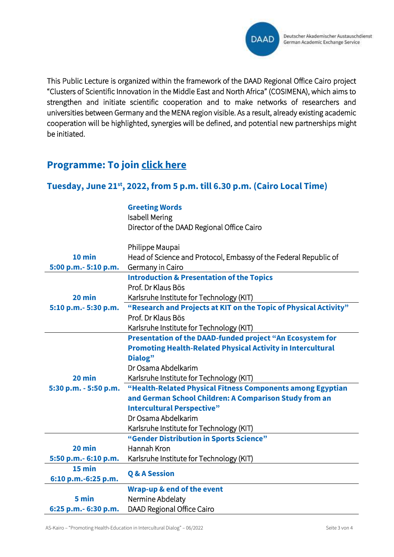

This Public Lecture is organized within the framework of the DAAD Regional Office Cairo project "Clusters of Scientific Innovation in the Middle East and North Africa" (COSIMENA), which aims to strengthen and initiate scientific cooperation and to make networks of researchers and universities between Germany and the MENA region visible. As a result, already existing academic cooperation will be highlighted, synergies will be defined, and potential new partnerships might be initiated.

## **Programme: To join [click here](https://teams.microsoft.com/l/meetup-join/19%3ameeting_ODIyOTliNmMtYjA3YS00MjRmLWE3YWEtMWYyYTA5NDk2ZGZj%40thread.v2/0?context=%7b%22Tid%22%3a%2230abdb70-b284-4830-8df7-daa5b0052ed2%22%2c%22Oid%22%3a%221d75469e-0e69-4215-8a07-da91ef9e03da%22%7d)**

#### **Tuesday, June 21st, 2022, from 5 p.m. till 6.30 p.m. (Cairo Local Time)**

**Greeting Words** Isabell Mering Director of the DAAD Regional Office Cairo

|                       | Philippe Maupai                                                    |
|-----------------------|--------------------------------------------------------------------|
| $10$ min              | Head of Science and Protocol, Embassy of the Federal Republic of   |
| 5:00 p.m. - 5:10 p.m. | Germany in Cairo                                                   |
|                       | <b>Introduction &amp; Presentation of the Topics</b>               |
|                       | Prof. Dr Klaus Bös                                                 |
| $20$ min              | Karlsruhe Institute for Technology (KIT)                           |
| 5:10 p.m. - 5:30 p.m. | "Research and Projects at KIT on the Topic of Physical Activity"   |
|                       | Prof. Dr Klaus Bös                                                 |
|                       | Karlsruhe Institute for Technology (KIT)                           |
|                       | Presentation of the DAAD-funded project "An Ecosystem for          |
|                       | <b>Promoting Health-Related Physical Activity in Intercultural</b> |
|                       | Dialog"                                                            |
|                       | Dr Osama Abdelkarim                                                |
| 20 min                | Karlsruhe Institute for Technology (KIT)                           |
| 5:30 p.m. - 5:50 p.m. | "Health-Related Physical Fitness Components among Egyptian         |
|                       | and German School Children: A Comparison Study from an             |
|                       | <b>Intercultural Perspective"</b>                                  |
|                       | Dr Osama Abdelkarim                                                |
|                       | Karlsruhe Institute for Technology (KIT)                           |
|                       | "Gender Distribution in Sports Science"                            |
| 20 min                | Hannah Kron                                                        |
| 5:50 p.m. - 6:10 p.m. | Karlsruhe Institute for Technology (KIT)                           |
| $15$ min              | <b>Q &amp; A Session</b>                                           |
| 6:10 p.m.-6:25 p.m.   |                                                                    |
|                       | <b>Wrap-up &amp; end of the event</b>                              |
| 5 min                 | Nermine Abdelaty                                                   |
| 6:25 p.m. - 6:30 p.m. | DAAD Regional Office Cairo                                         |